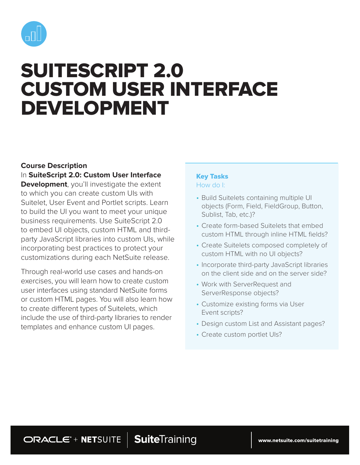

# SUITESCRIPT 2.0 CUSTOM USER INTERFACE DEVELOPMENT

# **Course Description**

In **SuiteScript 2.0: Custom User Interface Development**, you'll investigate the extent to which you can create custom UIs with Suitelet, User Event and Portlet scripts. Learn to build the UI you want to meet your unique business requirements. Use SuiteScript 2.0 to embed UI objects, custom HTML and thirdparty JavaScript libraries into custom UIs, while incorporating best practices to protect your customizations during each NetSuite release.

Through real-world use cases and hands-on exercises, you will learn how to create custom user interfaces using standard NetSuite forms or custom HTML pages. You will also learn how to create different types of Suitelets, which include the use of third-party libraries to render templates and enhance custom UI pages.

## Key Tasks How do I:

- Build Suitelets containing multiple UI objects (Form, Field, FieldGroup, Button, Sublist, Tab, etc.)?
- Create form-based Suitelets that embed custom HTML through inline HTML fields?
- Create Suitelets composed completely of custom HTML with no UI objects?
- Incorporate third-party JavaScript libraries on the client side and on the server side?
- Work with ServerRequest and ServerResponse objects?
- Customize existing forms via User Event scripts?
- Design custom List and Assistant pages?
- Create custom portlet UIs?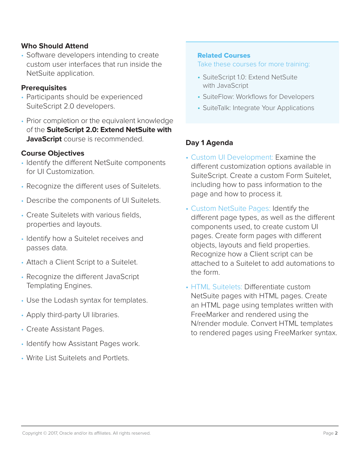# **Who Should Attend**

• Software developers intending to create custom user interfaces that run inside the NetSuite application.

## **Prerequisites**

- Participants should be experienced SuiteScript 2.0 developers.
- Prior completion or the equivalent knowledge of the **SuiteScript 2.0: Extend NetSuite with JavaScript** course is recommended.

# **Course Objectives**

- Identify the different NetSuite components for UI Customization.
- Recognize the different uses of Suitelets.
- Describe the components of UI Suitelets.
- Create Suitelets with various fields, properties and layouts.
- Identify how a Suitelet receives and passes data.
- Attach a Client Script to a Suitelet.
- Recognize the different JavaScript Templating Engines.
- Use the Lodash syntax for templates.
- Apply third-party UI libraries.
- Create Assistant Pages.
- Identify how Assistant Pages work.
- Write List Suitelets and Portlets.

## Related Courses

Take these courses for more training:

- SuiteScript 1.0: Extend NetSuite with JavaScript
- SuiteFlow: Workflows for Developers
- SuiteTalk: Integrate Your Applications

# **Day 1 Agenda**

- Custom UI Development: Examine the different customization options available in SuiteScript. Create a custom Form Suitelet, including how to pass information to the page and how to process it.
- Custom NetSuite Pages: Identify the different page types, as well as the different components used, to create custom UI pages. Create form pages with different objects, layouts and field properties. Recognize how a Client script can be attached to a Suitelet to add automations to the form.
- HTML Suitelets: Differentiate custom NetSuite pages with HTML pages. Create an HTML page using templates written with FreeMarker and rendered using the N/render module. Convert HTML templates to rendered pages using FreeMarker syntax.